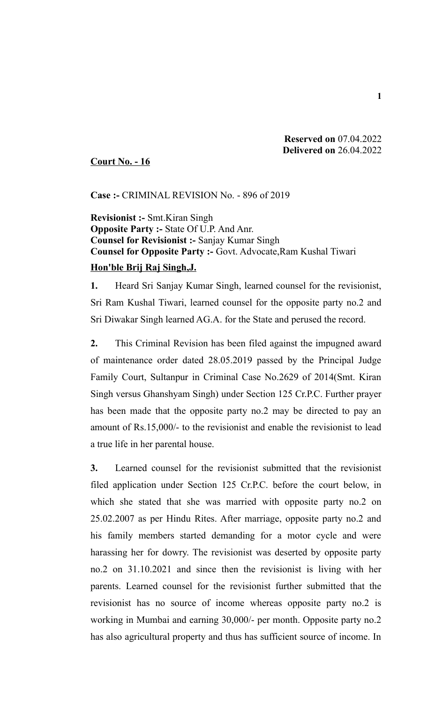## **Reserved on** 07.04.2022  **Delivered on** 26.04.2022

**Court No. - 16**

**Case :-** CRIMINAL REVISION No. - 896 of 2019

**Revisionist :-** Smt.Kiran Singh **Opposite Party :-** State Of U.P. And Anr. **Counsel for Revisionist :-** Sanjay Kumar Singh **Counsel for Opposite Party :-** Govt. Advocate,Ram Kushal Tiwari

## **Hon'ble Brij Raj Singh,J.**

**1.** Heard Sri Sanjay Kumar Singh, learned counsel for the revisionist, Sri Ram Kushal Tiwari, learned counsel for the opposite party no.2 and Sri Diwakar Singh learned AG.A. for the State and perused the record.

**2.** This Criminal Revision has been filed against the impugned award of maintenance order dated 28.05.2019 passed by the Principal Judge Family Court, Sultanpur in Criminal Case No.2629 of 2014(Smt. Kiran Singh versus Ghanshyam Singh) under Section 125 Cr.P.C. Further prayer has been made that the opposite party no.2 may be directed to pay an amount of Rs.15,000/- to the revisionist and enable the revisionist to lead a true life in her parental house.

**3.** Learned counsel for the revisionist submitted that the revisionist filed application under Section 125 Cr.P.C. before the court below, in which she stated that she was married with opposite party no.2 on 25.02.2007 as per Hindu Rites. After marriage, opposite party no.2 and his family members started demanding for a motor cycle and were harassing her for dowry. The revisionist was deserted by opposite party no.2 on 31.10.2021 and since then the revisionist is living with her parents. Learned counsel for the revisionist further submitted that the revisionist has no source of income whereas opposite party no.2 is working in Mumbai and earning 30,000/- per month. Opposite party no.2 has also agricultural property and thus has sufficient source of income. In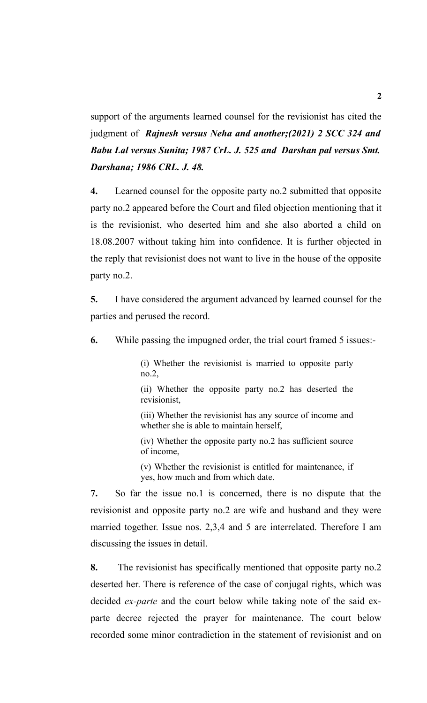support of the arguments learned counsel for the revisionist has cited the judgment of *Rajnesh versus Neha and another;(2021) 2 SCC 324 and Babu Lal versus Sunita; 1987 CrL. J. 525 and Darshan pal versus Smt. Darshana; 1986 CRL. J. 48.*

**4.** Learned counsel for the opposite party no.2 submitted that opposite party no.2 appeared before the Court and filed objection mentioning that it is the revisionist, who deserted him and she also aborted a child on 18.08.2007 without taking him into confidence. It is further objected in the reply that revisionist does not want to live in the house of the opposite party no.2.

**5.** I have considered the argument advanced by learned counsel for the parties and perused the record.

**6.** While passing the impugned order, the trial court framed 5 issues:-

(i) Whether the revisionist is married to opposite party no.2,

(ii) Whether the opposite party no.2 has deserted the revisionist,

(iii) Whether the revisionist has any source of income and whether she is able to maintain herself,

(iv) Whether the opposite party no.2 has sufficient source of income,

(v) Whether the revisionist is entitled for maintenance, if yes, how much and from which date.

**7.** So far the issue no.1 is concerned, there is no dispute that the revisionist and opposite party no.2 are wife and husband and they were married together. Issue nos. 2,3,4 and 5 are interrelated. Therefore I am discussing the issues in detail.

**8.** The revisionist has specifically mentioned that opposite party no.2 deserted her. There is reference of the case of conjugal rights, which was decided *ex-parte* and the court below while taking note of the said exparte decree rejected the prayer for maintenance. The court below recorded some minor contradiction in the statement of revisionist and on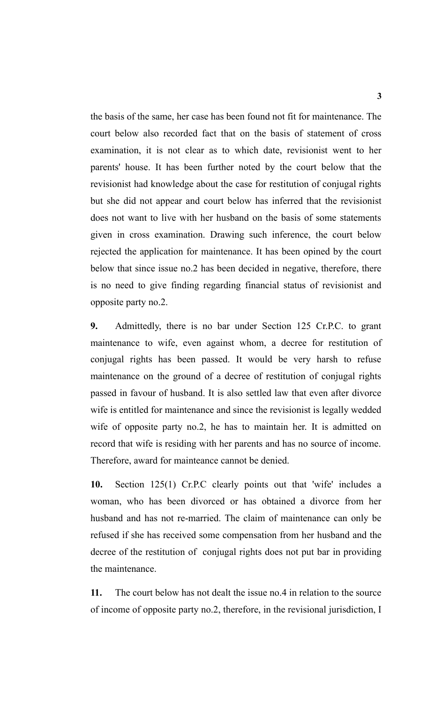the basis of the same, her case has been found not fit for maintenance. The court below also recorded fact that on the basis of statement of cross examination, it is not clear as to which date, revisionist went to her parents' house. It has been further noted by the court below that the revisionist had knowledge about the case for restitution of conjugal rights but she did not appear and court below has inferred that the revisionist does not want to live with her husband on the basis of some statements given in cross examination. Drawing such inference, the court below rejected the application for maintenance. It has been opined by the court below that since issue no.2 has been decided in negative, therefore, there is no need to give finding regarding financial status of revisionist and opposite party no.2.

**9.** Admittedly, there is no bar under Section 125 Cr.P.C. to grant maintenance to wife, even against whom, a decree for restitution of conjugal rights has been passed. It would be very harsh to refuse maintenance on the ground of a decree of restitution of conjugal rights passed in favour of husband. It is also settled law that even after divorce wife is entitled for maintenance and since the revisionist is legally wedded wife of opposite party no.2, he has to maintain her. It is admitted on record that wife is residing with her parents and has no source of income. Therefore, award for mainteance cannot be denied.

**10.** Section 125(1) Cr.P.C clearly points out that 'wife' includes a woman, who has been divorced or has obtained a divorce from her husband and has not re-married. The claim of maintenance can only be refused if she has received some compensation from her husband and the decree of the restitution of conjugal rights does not put bar in providing the maintenance.

**11.** The court below has not dealt the issue no.4 in relation to the source of income of opposite party no.2, therefore, in the revisional jurisdiction, I